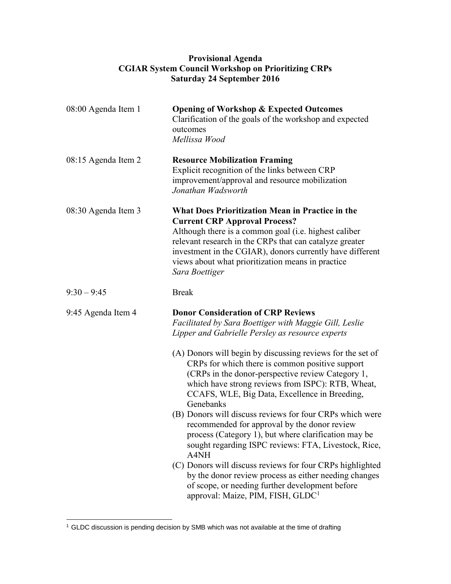## **Provisional Agenda CGIAR System Council Workshop on Prioritizing CRPs Saturday 24 September 2016**

| 08:00 Agenda Item 1 | <b>Opening of Workshop &amp; Expected Outcomes</b><br>Clarification of the goals of the workshop and expected<br>outcomes<br>Mellissa Wood                                                                                                                                                                                                                                                                                                                                                                                                                                                                                                                                                                                                          |
|---------------------|-----------------------------------------------------------------------------------------------------------------------------------------------------------------------------------------------------------------------------------------------------------------------------------------------------------------------------------------------------------------------------------------------------------------------------------------------------------------------------------------------------------------------------------------------------------------------------------------------------------------------------------------------------------------------------------------------------------------------------------------------------|
| 08:15 Agenda Item 2 | <b>Resource Mobilization Framing</b><br>Explicit recognition of the links between CRP<br>improvement/approval and resource mobilization<br>Jonathan Wadsworth                                                                                                                                                                                                                                                                                                                                                                                                                                                                                                                                                                                       |
| 08:30 Agenda Item 3 | <b>What Does Prioritization Mean in Practice in the</b><br><b>Current CRP Approval Process?</b><br>Although there is a common goal (i.e. highest caliber<br>relevant research in the CRPs that can catalyze greater<br>investment in the CGIAR), donors currently have different<br>views about what prioritization means in practice<br>Sara Boettiger                                                                                                                                                                                                                                                                                                                                                                                             |
| $9:30 - 9:45$       | <b>Break</b>                                                                                                                                                                                                                                                                                                                                                                                                                                                                                                                                                                                                                                                                                                                                        |
| 9:45 Agenda Item 4  | <b>Donor Consideration of CRP Reviews</b><br>Facilitated by Sara Boettiger with Maggie Gill, Leslie<br>Lipper and Gabrielle Persley as resource experts                                                                                                                                                                                                                                                                                                                                                                                                                                                                                                                                                                                             |
|                     | (A) Donors will begin by discussing reviews for the set of<br>CRPs for which there is common positive support<br>(CRPs in the donor-perspective review Category 1,<br>which have strong reviews from ISPC): RTB, Wheat,<br>CCAFS, WLE, Big Data, Excellence in Breeding,<br>Genebanks<br>(B) Donors will discuss reviews for four CRPs which were<br>recommended for approval by the donor review<br>process (Category 1), but where clarification may be<br>sought regarding ISPC reviews: FTA, Livestock, Rice,<br>A4NH<br>(C) Donors will discuss reviews for four CRPs highlighted<br>by the donor review process as either needing changes<br>of scope, or needing further development before<br>approval: Maize, PIM, FISH, GLDC <sup>1</sup> |

 $1$  GLDC discussion is pending decision by SMB which was not available at the time of drafting